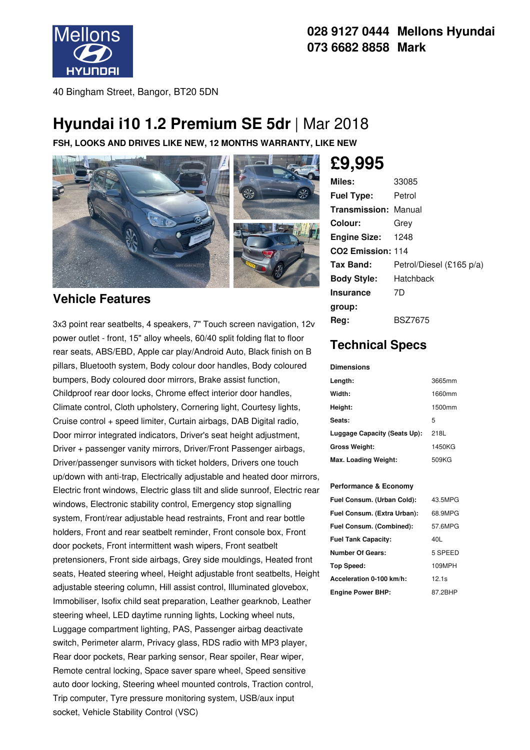

#### **028 9127 0444 Mellons Hyundai 073 6682 8858 Mark**

40 Bingham Street, Bangor, BT20 5DN

## **Hyundai i10 1.2 Premium SE 5dr** | Mar 2018

**FSH, LOOKS AND DRIVES LIKE NEW, 12 MONTHS WARRANTY, LIKE NEW**



#### **Vehicle Features**

3x3 point rear seatbelts, 4 speakers, 7" Touch screen navigation, 12v power outlet - front, 15" alloy wheels, 60/40 split folding flat to floor rear seats, ABS/EBD, Apple car play/Android Auto, Black finish on B pillars, Bluetooth system, Body colour door handles, Body coloured bumpers, Body coloured door mirrors, Brake assist function, Childproof rear door locks, Chrome effect interior door handles, Climate control, Cloth upholstery, Cornering light, Courtesy lights, Cruise control + speed limiter, Curtain airbags, DAB Digital radio, Door mirror integrated indicators, Driver's seat height adjustment, Driver + passenger vanity mirrors, Driver/Front Passenger airbags, Driver/passenger sunvisors with ticket holders, Drivers one touch up/down with anti-trap, Electrically adjustable and heated door mirrors, Electric front windows, Electric glass tilt and slide sunroof, Electric rear windows, Electronic stability control, Emergency stop signalling system, Front/rear adjustable head restraints, Front and rear bottle holders, Front and rear seatbelt reminder, Front console box, Front door pockets, Front intermittent wash wipers, Front seatbelt pretensioners, Front side airbags, Grey side mouldings, Heated front seats, Heated steering wheel, Height adjustable front seatbelts, Height adjustable steering column, Hill assist control, Illuminated glovebox, Immobiliser, Isofix child seat preparation, Leather gearknob, Leather steering wheel, LED daytime running lights, Locking wheel nuts, Luggage compartment lighting, PAS, Passenger airbag deactivate switch, Perimeter alarm, Privacy glass, RDS radio with MP3 player, Rear door pockets, Rear parking sensor, Rear spoiler, Rear wiper, Remote central locking, Space saver spare wheel, Speed sensitive auto door locking, Steering wheel mounted controls, Traction control, Trip computer, Tyre pressure monitoring system, USB/aux input socket, Vehicle Stability Control (VSC)

# **£9,995**

| Miles:                        | 33085                    |
|-------------------------------|--------------------------|
| <b>Fuel Type:</b>             | Petrol                   |
| <b>Transmission: Manual</b>   |                          |
| Colour:                       | Grev                     |
| <b>Engine Size:</b>           | 1248                     |
| CO <sub>2</sub> Emission: 114 |                          |
| Tax Band:                     | Petrol/Diesel (£165 p/a) |
| <b>Body Style:</b>            | Hatchback                |
| <b>Insurance</b>              | 7D                       |
| group:                        |                          |
| Reg:                          | <b>BSZ7675</b>           |

### **Technical Specs**

#### **Dimensions**

| Length:                      | 3665mm |
|------------------------------|--------|
| Width:                       | 1660mm |
| Height:                      | 1500mm |
| Seats:                       | 5      |
| Luggage Capacity (Seats Up): | 218L   |
| <b>Gross Weight:</b>         | 1450KG |
| Max. Loading Weight:         | 509KG  |

#### **Performance & Economy**

| Fuel Consum. (Urban Cold):  | 43.5MPG |
|-----------------------------|---------|
| Fuel Consum. (Extra Urban): | 68.9MPG |
| Fuel Consum. (Combined):    | 57.6MPG |
| <b>Fuel Tank Capacity:</b>  | 40L     |
| Number Of Gears:            | 5 SPEED |
| <b>Top Speed:</b>           | 109MPH  |
| Acceleration 0-100 km/h:    | 12.1s   |
| <b>Engine Power BHP:</b>    | 87.2BHP |